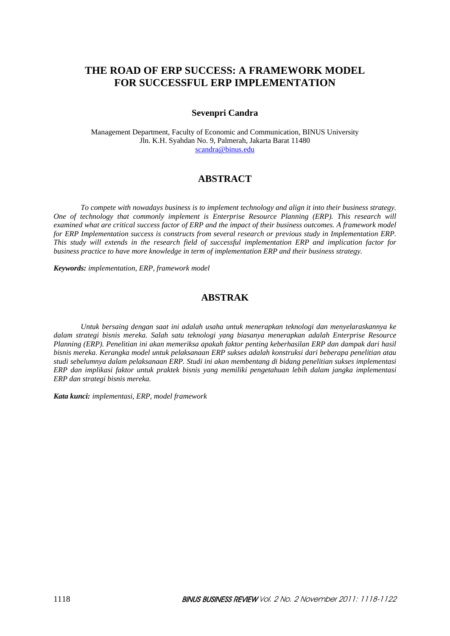# **THE ROAD OF ERP SUCCESS: A FRAMEWORK MODEL FOR SUCCESSFUL ERP IMPLEMENTATION**

### **Sevenpri Candra**

Management Department, Faculty of Economic and Communication, BINUS University Jln. K.H. Syahdan No. 9, Palmerah, Jakarta Barat 11480 scandra@binus.edu

## **ABSTRACT**

 *To compete with nowadays business is to implement technology and align it into their business strategy. One of technology that commonly implement is Enterprise Resource Planning (ERP). This research will examined what are critical success factor of ERP and the impact of their business outcomes. A framework model for ERP Implementation success is constructs from several research or previous study in Implementation ERP. This study will extends in the research field of successful implementation ERP and implication factor for business practice to have more knowledge in term of implementation ERP and their business strategy.* 

*Keywords: implementation, ERP, framework model* 

## **ABSTRAK**

 *Untuk bersaing dengan saat ini adalah usaha untuk menerapkan teknologi dan menyelaraskannya ke dalam strategi bisnis mereka. Salah satu teknologi yang biasanya menerapkan adalah Enterprise Resource Planning (ERP). Penelitian ini akan memeriksa apakah faktor penting keberhasilan ERP dan dampak dari hasil bisnis mereka. Kerangka model untuk pelaksanaan ERP sukses adalah konstruksi dari beberapa penelitian atau studi sebelumnya dalam pelaksanaan ERP. Studi ini akan membentang di bidang penelitian sukses implementasi ERP dan implikasi faktor untuk praktek bisnis yang memiliki pengetahuan lebih dalam jangka implementasi ERP dan strategi bisnis mereka.* 

*Kata kunci: implementasi, ERP, model framework*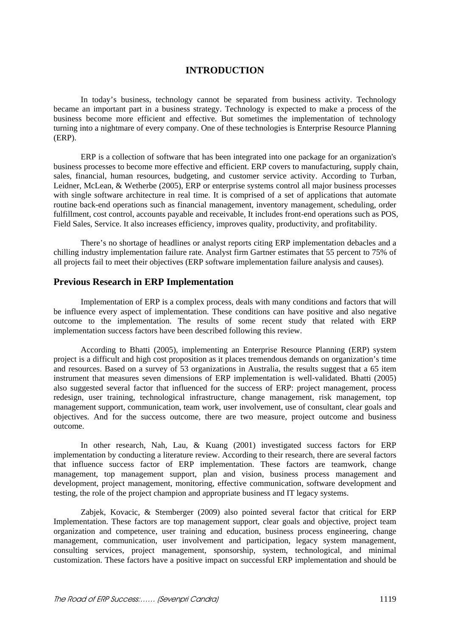## **INTRODUCTION**

In today's business, technology cannot be separated from business activity. Technology became an important part in a business strategy. Technology is expected to make a process of the business become more efficient and effective. But sometimes the implementation of technology turning into a nightmare of every company. One of these technologies is Enterprise Resource Planning (ERP).

ERP is a collection of software that has been integrated into one package for an organization's business processes to become more effective and efficient. ERP covers to manufacturing, supply chain, sales, financial, human resources, budgeting, and customer service activity. According to Turban, Leidner, McLean, & Wetherbe (2005), ERP or enterprise systems control all major business processes with single software architecture in real time. It is comprised of a set of applications that automate routine back-end operations such as financial management, inventory management, scheduling, order fulfillment, cost control, accounts payable and receivable, It includes front-end operations such as POS, Field Sales, Service. It also increases efficiency, improves quality, productivity, and profitability.

There's no shortage of headlines or analyst reports citing ERP implementation debacles and a chilling industry implementation failure rate. Analyst firm Gartner estimates that 55 percent to 75% of all projects fail to meet their objectives (ERP software implementation failure analysis and causes).

#### **Previous Research in ERP Implementation**

Implementation of ERP is a complex process, deals with many conditions and factors that will be influence every aspect of implementation. These conditions can have positive and also negative outcome to the implementation. The results of some recent study that related with ERP implementation success factors have been described following this review.

According to Bhatti (2005), implementing an Enterprise Resource Planning (ERP) system project is a difficult and high cost proposition as it places tremendous demands on organization's time and resources. Based on a survey of 53 organizations in Australia, the results suggest that a 65 item instrument that measures seven dimensions of ERP implementation is well-validated. Bhatti (2005) also suggested several factor that influenced for the success of ERP: project management, process redesign, user training, technological infrastructure, change management, risk management, top management support, communication, team work, user involvement, use of consultant, clear goals and objectives. And for the success outcome, there are two measure, project outcome and business outcome.

In other research, Nah, Lau, & Kuang (2001) investigated success factors for ERP implementation by conducting a literature review. According to their research, there are several factors that influence success factor of ERP implementation. These factors are teamwork, change management, top management support, plan and vision, business process management and development, project management, monitoring, effective communication, software development and testing, the role of the project champion and appropriate business and IT legacy systems.

Zabjek, Kovacic, & Stemberger (2009) also pointed several factor that critical for ERP Implementation. These factors are top management support, clear goals and objective, project team organization and competence, user training and education, business process engineering, change management, communication, user involvement and participation, legacy system management, consulting services, project management, sponsorship, system, technological, and minimal customization. These factors have a positive impact on successful ERP implementation and should be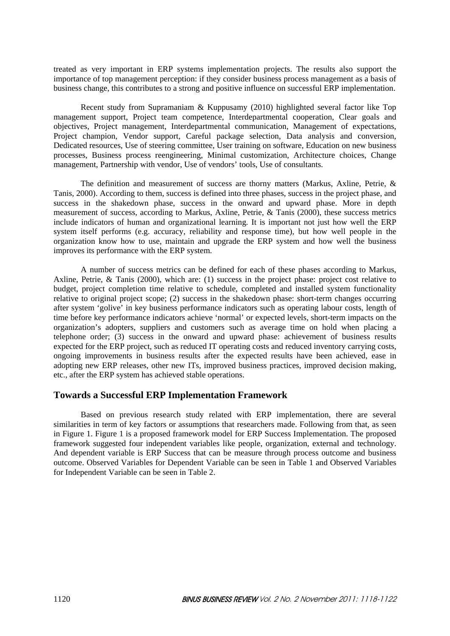treated as very important in ERP systems implementation projects. The results also support the importance of top management perception: if they consider business process management as a basis of business change, this contributes to a strong and positive influence on successful ERP implementation.

 Recent study from Supramaniam & Kuppusamy (2010) highlighted several factor like Top management support, Project team competence, Interdepartmental cooperation, Clear goals and objectives, Project management, Interdepartmental communication, Management of expectations, Project champion, Vendor support, Careful package selection, Data analysis and conversion, Dedicated resources, Use of steering committee, User training on software, Education on new business processes, Business process reengineering, Minimal customization, Architecture choices, Change management, Partnership with vendor, Use of vendors' tools, Use of consultants.

 The definition and measurement of success are thorny matters (Markus, Axline, Petrie, & Tanis, 2000). According to them, success is defined into three phases, success in the project phase, and success in the shakedown phase, success in the onward and upward phase. More in depth measurement of success, according to Markus, Axline, Petrie, & Tanis (2000), these success metrics include indicators of human and organizational learning*.* It is important not just how well the ERP system itself performs (e.g. accuracy, reliability and response time), but how well people in the organization know how to use, maintain and upgrade the ERP system and how well the business improves its performance with the ERP system.

 A number of success metrics can be defined for each of these phases according to Markus, Axline, Petrie, & Tanis (2000), which are: (1) success in the project phase: project cost relative to budget, project completion time relative to schedule, completed and installed system functionality relative to original project scope; (2) success in the shakedown phase: short-term changes occurring after system 'golive' in key business performance indicators such as operating labour costs, length of time before key performance indicators achieve 'normal' or expected levels, short-term impacts on the organization's adopters, suppliers and customers such as average time on hold when placing a telephone order; (3) success in the onward and upward phase: achievement of business results expected for the ERP project, such as reduced IT operating costs and reduced inventory carrying costs, ongoing improvements in business results after the expected results have been achieved, ease in adopting new ERP releases, other new ITs, improved business practices, improved decision making, etc., after the ERP system has achieved stable operations.

### **Towards a Successful ERP Implementation Framework**

 Based on previous research study related with ERP implementation, there are several similarities in term of key factors or assumptions that researchers made. Following from that, as seen in Figure 1. Figure 1 is a proposed framework model for ERP Success Implementation. The proposed framework suggested four independent variables like people, organization, external and technology. And dependent variable is ERP Success that can be measure through process outcome and business outcome. Observed Variables for Dependent Variable can be seen in Table 1 and Observed Variables for Independent Variable can be seen in Table 2.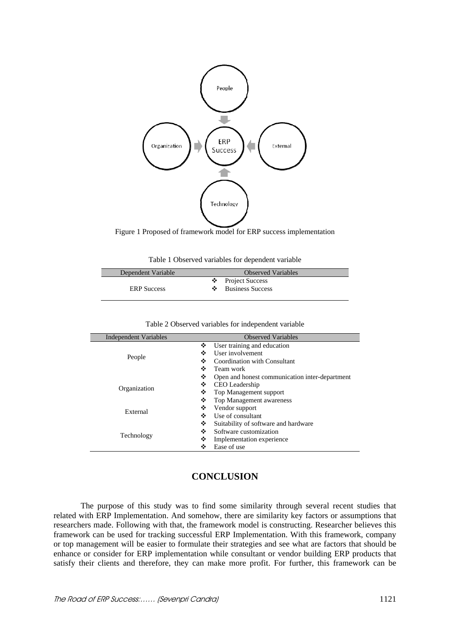

Figure 1 Proposed of framework model for ERP success implementation

| Table 1 Observed variables for dependent variable |  |
|---------------------------------------------------|--|
|---------------------------------------------------|--|

| Dependent Variable | <b>Observed Variables</b>                            |
|--------------------|------------------------------------------------------|
| <b>ERP</b> Success | $\bullet$ Project Success<br><b>Business Success</b> |

| <b>Independent Variables</b> | <b>Observed Variables</b>                           |
|------------------------------|-----------------------------------------------------|
| People                       | User training and education<br>❖                    |
|                              | User involvement<br>❖                               |
|                              | Coordination with Consultant<br>❖                   |
|                              | ❖<br>Team work                                      |
| Organization                 | ❖<br>Open and honest communication inter-department |
|                              | ❖<br>CEO Leadership                                 |
|                              | Top Management support<br>❖                         |
|                              | ❖<br>Top Management awareness                       |
| External                     | ❖<br>Vendor support                                 |
|                              | Use of consultant<br>❖                              |
| Technology                   | ❖<br>Suitability of software and hardware           |
|                              | Software customization<br>❖                         |
|                              | ❖<br>Implementation experience                      |
|                              | Ease of use<br>❖                                    |

#### Table 2 Observed variables for independent variable

# **CONCLUSION**

 The purpose of this study was to find some similarity through several recent studies that related with ERP Implementation. And somehow, there are similarity key factors or assumptions that researchers made. Following with that, the framework model is constructing. Researcher believes this framework can be used for tracking successful ERP Implementation. With this framework, company or top management will be easier to formulate their strategies and see what are factors that should be enhance or consider for ERP implementation while consultant or vendor building ERP products that satisfy their clients and therefore, they can make more profit. For further, this framework can be